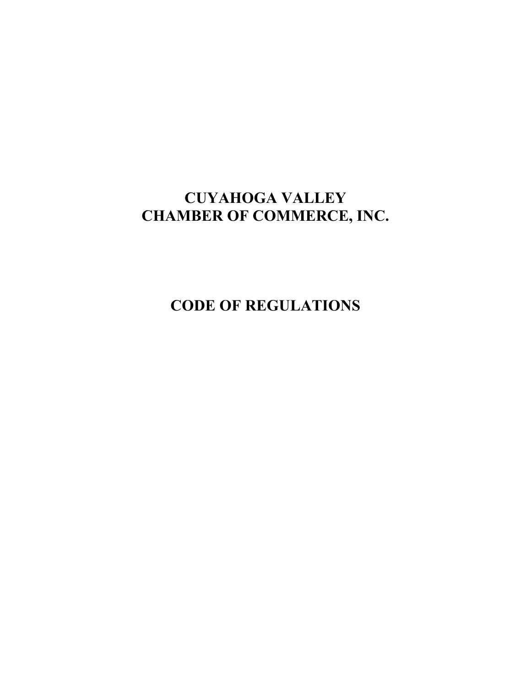# **CUYAHOGA VALLEY CHAMBER OF COMMERCE, INC.**

**CODE OF REGULATIONS**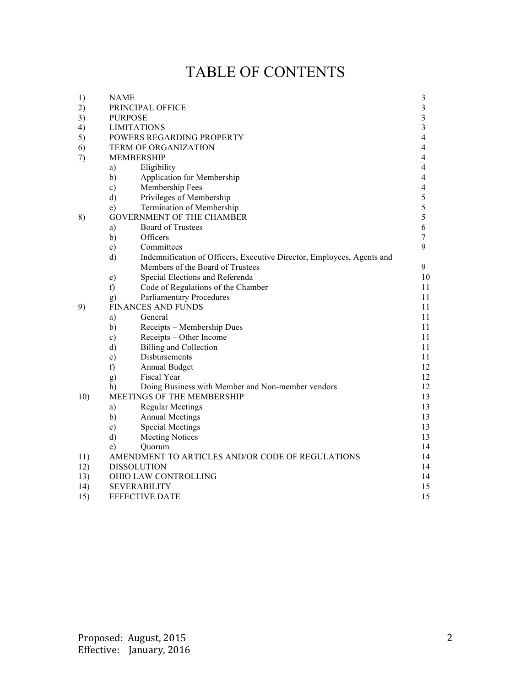# TABLE OF CONTENTS

| 1)  | <b>NAME</b>                                                                            | $\mathfrak{Z}$ |
|-----|----------------------------------------------------------------------------------------|----------------|
| 2)  | PRINCIPAL OFFICE                                                                       | 3              |
| 3)  | <b>PURPOSE</b>                                                                         | 3              |
| 4)  | <b>LIMITATIONS</b>                                                                     | 3              |
| 5)  | POWERS REGARDING PROPERTY                                                              | 4              |
| 6)  | <b>TERM OF ORGANIZATION</b>                                                            | 4              |
| 7)  | <b>MEMBERSHIP</b>                                                                      | 4              |
|     | Eligibility<br>a)                                                                      | 4              |
|     | b)<br>Application for Membership                                                       | 4              |
|     | Membership Fees<br>$\mathbf{c})$                                                       | 4              |
|     | $\mathbf{d}$<br>Privileges of Membership                                               | 5              |
|     | Termination of Membership<br>e)                                                        | 5              |
| 8)  | <b>GOVERNMENT OF THE CHAMBER</b>                                                       | 5              |
|     | <b>Board of Trustees</b><br>a)                                                         | 6              |
|     | Officers<br>b)                                                                         | 7              |
|     | Committees<br>$\mathbf{c})$                                                            | 9              |
|     | $\mathbf{d}$<br>Indemnification of Officers, Executive Director, Employees, Agents and |                |
|     | Members of the Board of Trustees                                                       | 9              |
|     | Special Elections and Referenda<br>e)                                                  | 10             |
|     | f)<br>Code of Regulations of the Chamber                                               | 11             |
|     | <b>Parliamentary Procedures</b><br>g)                                                  | 11             |
| 9)  | <b>FINANCES AND FUNDS</b>                                                              | 11             |
|     | a)<br>General                                                                          | 11             |
|     | b)<br>Receipts - Membership Dues                                                       | 11             |
|     | Receipts - Other Income<br>$\mathbf{c})$                                               | 11             |
|     | d)<br><b>Billing and Collection</b>                                                    | 11             |
|     | Disbursements<br>$\epsilon$ )                                                          | 11             |
|     | f)<br>Annual Budget                                                                    | 12             |
|     | Fiscal Year<br>g)                                                                      | 12             |
|     | Doing Business with Member and Non-member vendors<br>h)                                | 12             |
| 10) | MEETINGS OF THE MEMBERSHIP                                                             | 13             |
|     | <b>Regular Meetings</b><br>a)                                                          | 13             |
|     | b)<br><b>Annual Meetings</b>                                                           | 13             |
|     | <b>Special Meetings</b><br>$\mathbf{c})$                                               | 13             |
|     | d)<br><b>Meeting Notices</b>                                                           | 13             |
|     | Quorum<br>e)                                                                           | 14             |
| 11) | AMENDMENT TO ARTICLES AND/OR CODE OF REGULATIONS                                       | 14             |
| 12) | <b>DISSOLUTION</b>                                                                     | 14             |
| 13) | OHIO LAW CONTROLLING                                                                   | 14             |
| 14) | <b>SEVERABILITY</b>                                                                    | 15             |
| 15) | <b>EFFECTIVE DATE</b>                                                                  | 15             |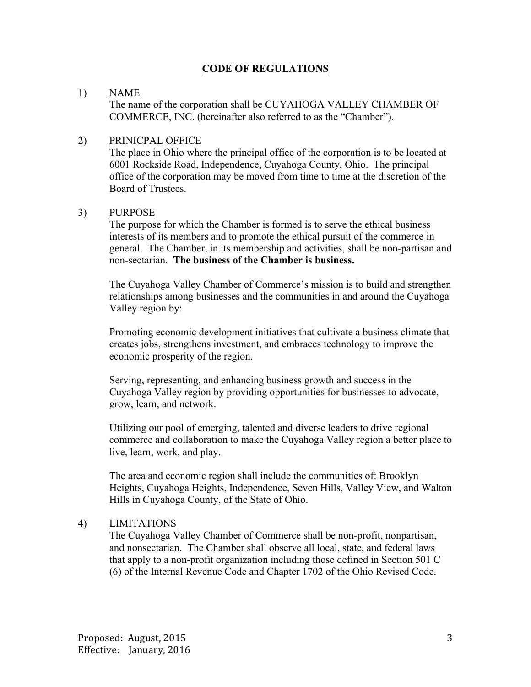#### **CODE OF REGULATIONS**

#### 1) NAME

The name of the corporation shall be CUYAHOGA VALLEY CHAMBER OF COMMERCE, INC. (hereinafter also referred to as the "Chamber").

#### 2) PRINICPAL OFFICE

The place in Ohio where the principal office of the corporation is to be located at 6001 Rockside Road, Independence, Cuyahoga County, Ohio. The principal office of the corporation may be moved from time to time at the discretion of the Board of Trustees.

#### 3) PURPOSE

The purpose for which the Chamber is formed is to serve the ethical business interests of its members and to promote the ethical pursuit of the commerce in general. The Chamber, in its membership and activities, shall be non-partisan and non-sectarian. **The business of the Chamber is business.**

The Cuyahoga Valley Chamber of Commerce's mission is to build and strengthen relationships among businesses and the communities in and around the Cuyahoga Valley region by:

Promoting economic development initiatives that cultivate a business climate that creates jobs, strengthens investment, and embraces technology to improve the economic prosperity of the region.

Serving, representing, and enhancing business growth and success in the Cuyahoga Valley region by providing opportunities for businesses to advocate, grow, learn, and network.

Utilizing our pool of emerging, talented and diverse leaders to drive regional commerce and collaboration to make the Cuyahoga Valley region a better place to live, learn, work, and play.

The area and economic region shall include the communities of: Brooklyn Heights, Cuyahoga Heights, Independence, Seven Hills, Valley View, and Walton Hills in Cuyahoga County, of the State of Ohio.

#### 4) LIMITATIONS

The Cuyahoga Valley Chamber of Commerce shall be non-profit, nonpartisan, and nonsectarian. The Chamber shall observe all local, state, and federal laws that apply to a non-profit organization including those defined in Section 501 C (6) of the Internal Revenue Code and Chapter 1702 of the Ohio Revised Code.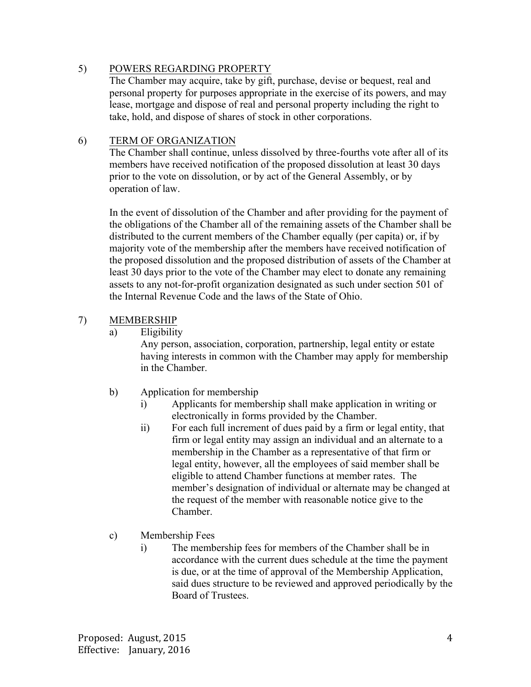## 5) POWERS REGARDING PROPERTY

The Chamber may acquire, take by gift, purchase, devise or bequest, real and personal property for purposes appropriate in the exercise of its powers, and may lease, mortgage and dispose of real and personal property including the right to take, hold, and dispose of shares of stock in other corporations.

#### 6) TERM OF ORGANIZATION

The Chamber shall continue, unless dissolved by three-fourths vote after all of its members have received notification of the proposed dissolution at least 30 days prior to the vote on dissolution, or by act of the General Assembly, or by operation of law.

In the event of dissolution of the Chamber and after providing for the payment of the obligations of the Chamber all of the remaining assets of the Chamber shall be distributed to the current members of the Chamber equally (per capita) or, if by majority vote of the membership after the members have received notification of the proposed dissolution and the proposed distribution of assets of the Chamber at least 30 days prior to the vote of the Chamber may elect to donate any remaining assets to any not-for-profit organization designated as such under section 501 of the Internal Revenue Code and the laws of the State of Ohio.

## 7) MEMBERSHIP

a) Eligibility

Any person, association, corporation, partnership, legal entity or estate having interests in common with the Chamber may apply for membership in the Chamber.

- b) Application for membership
	- i) Applicants for membership shall make application in writing or electronically in forms provided by the Chamber.
	- ii) For each full increment of dues paid by a firm or legal entity, that firm or legal entity may assign an individual and an alternate to a membership in the Chamber as a representative of that firm or legal entity, however, all the employees of said member shall be eligible to attend Chamber functions at member rates. The member's designation of individual or alternate may be changed at the request of the member with reasonable notice give to the Chamber.
- c) Membership Fees
	- i) The membership fees for members of the Chamber shall be in accordance with the current dues schedule at the time the payment is due, or at the time of approval of the Membership Application, said dues structure to be reviewed and approved periodically by the Board of Trustees.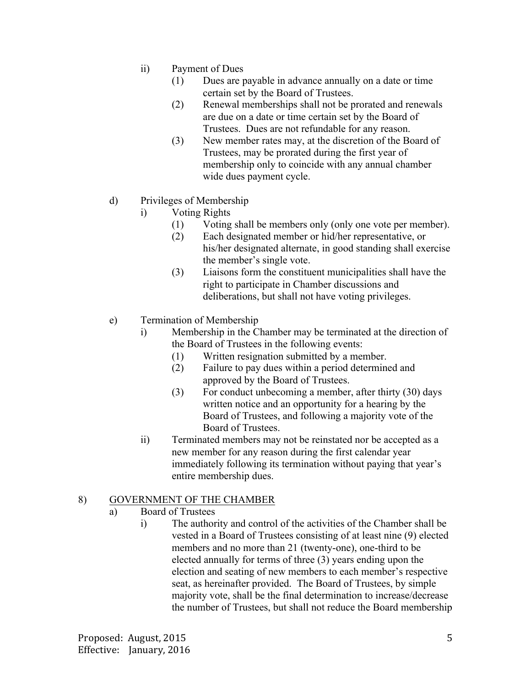- ii) Payment of Dues
	- (1) Dues are payable in advance annually on a date or time certain set by the Board of Trustees.
	- (2) Renewal memberships shall not be prorated and renewals are due on a date or time certain set by the Board of Trustees. Dues are not refundable for any reason.
	- (3) New member rates may, at the discretion of the Board of Trustees, may be prorated during the first year of membership only to coincide with any annual chamber wide dues payment cycle.
- d) Privileges of Membership
	- i) Voting Rights
		- (1) Voting shall be members only (only one vote per member).
		- (2) Each designated member or hid/her representative, or his/her designated alternate, in good standing shall exercise the member's single vote.
		- (3) Liaisons form the constituent municipalities shall have the right to participate in Chamber discussions and deliberations, but shall not have voting privileges.
- e) Termination of Membership
	- i) Membership in the Chamber may be terminated at the direction of the Board of Trustees in the following events:
		- (1) Written resignation submitted by a member.
		- (2) Failure to pay dues within a period determined and approved by the Board of Trustees.
		- (3) For conduct unbecoming a member, after thirty (30) days written notice and an opportunity for a hearing by the Board of Trustees, and following a majority vote of the Board of Trustees.
	- ii) Terminated members may not be reinstated nor be accepted as a new member for any reason during the first calendar year immediately following its termination without paying that year's entire membership dues.

## 8) GOVERNMENT OF THE CHAMBER

- a) Board of Trustees
	- i) The authority and control of the activities of the Chamber shall be vested in a Board of Trustees consisting of at least nine (9) elected members and no more than 21 (twenty-one), one-third to be elected annually for terms of three (3) years ending upon the election and seating of new members to each member's respective seat, as hereinafter provided. The Board of Trustees, by simple majority vote, shall be the final determination to increase/decrease the number of Trustees, but shall not reduce the Board membership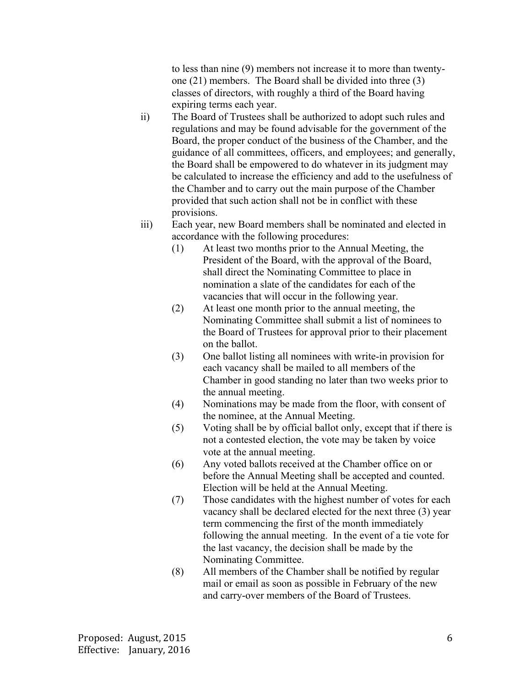to less than nine (9) members not increase it to more than twentyone (21) members. The Board shall be divided into three (3) classes of directors, with roughly a third of the Board having expiring terms each year.

- ii) The Board of Trustees shall be authorized to adopt such rules and regulations and may be found advisable for the government of the Board, the proper conduct of the business of the Chamber, and the guidance of all committees, officers, and employees; and generally, the Board shall be empowered to do whatever in its judgment may be calculated to increase the efficiency and add to the usefulness of the Chamber and to carry out the main purpose of the Chamber provided that such action shall not be in conflict with these provisions.
- iii) Each year, new Board members shall be nominated and elected in accordance with the following procedures:
	- (1) At least two months prior to the Annual Meeting, the President of the Board, with the approval of the Board, shall direct the Nominating Committee to place in nomination a slate of the candidates for each of the vacancies that will occur in the following year.
	- (2) At least one month prior to the annual meeting, the Nominating Committee shall submit a list of nominees to the Board of Trustees for approval prior to their placement on the ballot.
	- (3) One ballot listing all nominees with write-in provision for each vacancy shall be mailed to all members of the Chamber in good standing no later than two weeks prior to the annual meeting.
	- (4) Nominations may be made from the floor, with consent of the nominee, at the Annual Meeting.
	- (5) Voting shall be by official ballot only, except that if there is not a contested election, the vote may be taken by voice vote at the annual meeting.
	- (6) Any voted ballots received at the Chamber office on or before the Annual Meeting shall be accepted and counted. Election will be held at the Annual Meeting.
	- (7) Those candidates with the highest number of votes for each vacancy shall be declared elected for the next three (3) year term commencing the first of the month immediately following the annual meeting. In the event of a tie vote for the last vacancy, the decision shall be made by the Nominating Committee.
	- (8) All members of the Chamber shall be notified by regular mail or email as soon as possible in February of the new and carry-over members of the Board of Trustees.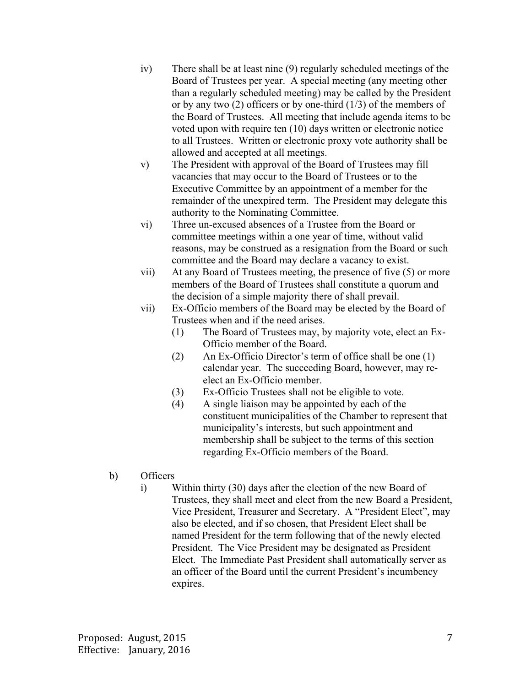- iv) There shall be at least nine (9) regularly scheduled meetings of the Board of Trustees per year. A special meeting (any meeting other than a regularly scheduled meeting) may be called by the President or by any two  $(2)$  officers or by one-third  $(1/3)$  of the members of the Board of Trustees. All meeting that include agenda items to be voted upon with require ten (10) days written or electronic notice to all Trustees. Written or electronic proxy vote authority shall be allowed and accepted at all meetings.
- v) The President with approval of the Board of Trustees may fill vacancies that may occur to the Board of Trustees or to the Executive Committee by an appointment of a member for the remainder of the unexpired term. The President may delegate this authority to the Nominating Committee.
- vi) Three un-excused absences of a Trustee from the Board or committee meetings within a one year of time, without valid reasons, may be construed as a resignation from the Board or such committee and the Board may declare a vacancy to exist.
- vii) At any Board of Trustees meeting, the presence of five (5) or more members of the Board of Trustees shall constitute a quorum and the decision of a simple majority there of shall prevail.
- vii) Ex-Officio members of the Board may be elected by the Board of Trustees when and if the need arises.
	- (1) The Board of Trustees may, by majority vote, elect an Ex-Officio member of the Board.
	- (2) An Ex-Officio Director's term of office shall be one (1) calendar year. The succeeding Board, however, may reelect an Ex-Officio member.
	- (3) Ex-Officio Trustees shall not be eligible to vote.
	- (4) A single liaison may be appointed by each of the constituent municipalities of the Chamber to represent that municipality's interests, but such appointment and membership shall be subject to the terms of this section regarding Ex-Officio members of the Board.
- b) Officers
	- i) Within thirty (30) days after the election of the new Board of Trustees, they shall meet and elect from the new Board a President, Vice President, Treasurer and Secretary. A "President Elect", may also be elected, and if so chosen, that President Elect shall be named President for the term following that of the newly elected President. The Vice President may be designated as President Elect. The Immediate Past President shall automatically server as an officer of the Board until the current President's incumbency expires.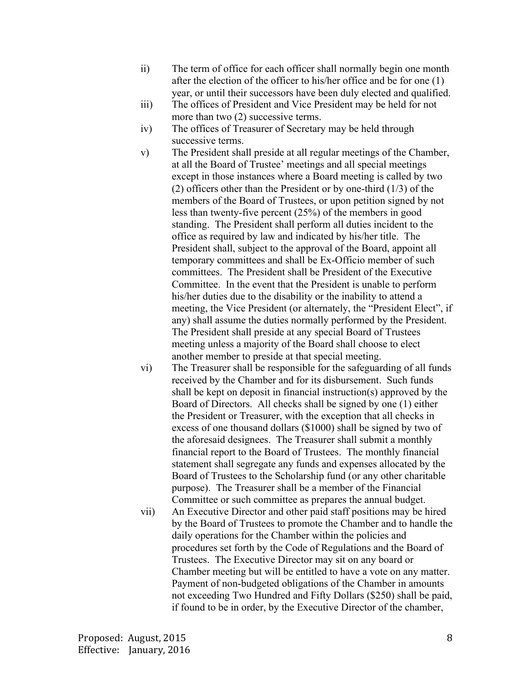- ii) The term of office for each officer shall normally begin one month after the election of the officer to his/her office and be for one (1) year, or until their successors have been duly elected and qualified.
- iii) The offices of President and Vice President may be held for not more than two (2) successive terms.
- iv) The offices of Treasurer of Secretary may be held through successive terms.
- v) The President shall preside at all regular meetings of the Chamber, at all the Board of Trustee' meetings and all special meetings except in those instances where a Board meeting is called by two (2) officers other than the President or by one-third (1/3) of the members of the Board of Trustees, or upon petition signed by not less than twenty-five percent (25%) of the members in good standing. The President shall perform all duties incident to the office as required by law and indicated by his/her title. The President shall, subject to the approval of the Board, appoint all temporary committees and shall be Ex-Officio member of such committees. The President shall be President of the Executive Committee. In the event that the President is unable to perform his/her duties due to the disability or the inability to attend a meeting, the Vice President (or alternately, the "President Elect", if any) shall assume the duties normally performed by the President. The President shall preside at any special Board of Trustees meeting unless a majority of the Board shall choose to elect another member to preside at that special meeting.
- vi) The Treasurer shall be responsible for the safeguarding of all funds received by the Chamber and for its disbursement. Such funds shall be kept on deposit in financial instruction(s) approved by the Board of Directors. All checks shall be signed by one (1) either the President or Treasurer, with the exception that all checks in excess of one thousand dollars (\$1000) shall be signed by two of the aforesaid designees. The Treasurer shall submit a monthly financial report to the Board of Trustees. The monthly financial statement shall segregate any funds and expenses allocated by the Board of Trustees to the Scholarship fund (or any other charitable purpose). The Treasurer shall be a member of the Financial Committee or such committee as prepares the annual budget.
- vii) An Executive Director and other paid staff positions may be hired by the Board of Trustees to promote the Chamber and to handle the daily operations for the Chamber within the policies and procedures set forth by the Code of Regulations and the Board of Trustees. The Executive Director may sit on any board or Chamber meeting but will be entitled to have a vote on any matter. Payment of non-budgeted obligations of the Chamber in amounts not exceeding Two Hundred and Fifty Dollars (\$250) shall be paid, if found to be in order, by the Executive Director of the chamber,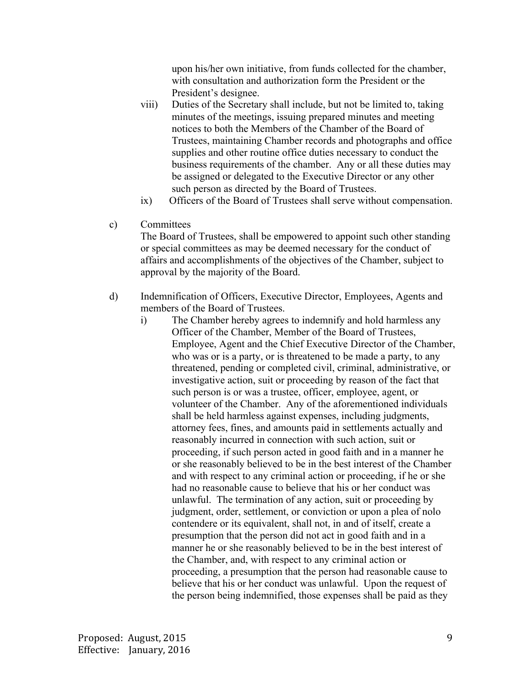upon his/her own initiative, from funds collected for the chamber, with consultation and authorization form the President or the President's designee.

- viii) Duties of the Secretary shall include, but not be limited to, taking minutes of the meetings, issuing prepared minutes and meeting notices to both the Members of the Chamber of the Board of Trustees, maintaining Chamber records and photographs and office supplies and other routine office duties necessary to conduct the business requirements of the chamber. Any or all these duties may be assigned or delegated to the Executive Director or any other such person as directed by the Board of Trustees.
- ix) Officers of the Board of Trustees shall serve without compensation.

## c) Committees

The Board of Trustees, shall be empowered to appoint such other standing or special committees as may be deemed necessary for the conduct of affairs and accomplishments of the objectives of the Chamber, subject to approval by the majority of the Board.

- d) Indemnification of Officers, Executive Director, Employees, Agents and members of the Board of Trustees.
	- i) The Chamber hereby agrees to indemnify and hold harmless any Officer of the Chamber, Member of the Board of Trustees, Employee, Agent and the Chief Executive Director of the Chamber, who was or is a party, or is threatened to be made a party, to any threatened, pending or completed civil, criminal, administrative, or investigative action, suit or proceeding by reason of the fact that such person is or was a trustee, officer, employee, agent, or volunteer of the Chamber. Any of the aforementioned individuals shall be held harmless against expenses, including judgments, attorney fees, fines, and amounts paid in settlements actually and reasonably incurred in connection with such action, suit or proceeding, if such person acted in good faith and in a manner he or she reasonably believed to be in the best interest of the Chamber and with respect to any criminal action or proceeding, if he or she had no reasonable cause to believe that his or her conduct was unlawful. The termination of any action, suit or proceeding by judgment, order, settlement, or conviction or upon a plea of nolo contendere or its equivalent, shall not, in and of itself, create a presumption that the person did not act in good faith and in a manner he or she reasonably believed to be in the best interest of the Chamber, and, with respect to any criminal action or proceeding, a presumption that the person had reasonable cause to believe that his or her conduct was unlawful. Upon the request of the person being indemnified, those expenses shall be paid as they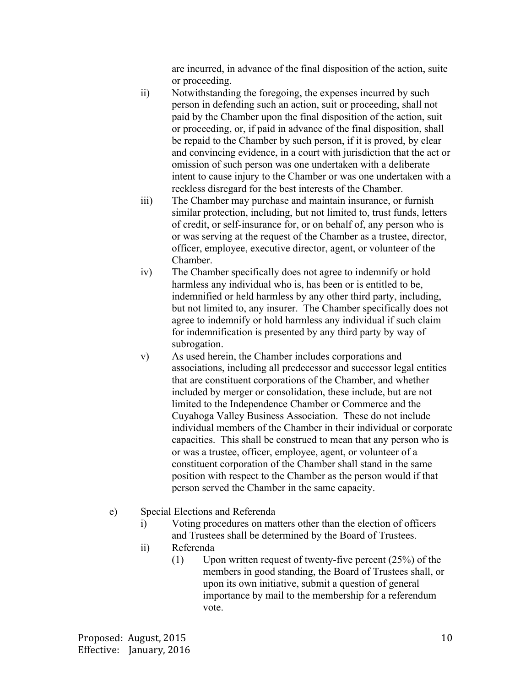are incurred, in advance of the final disposition of the action, suite or proceeding.

- ii) Notwithstanding the foregoing, the expenses incurred by such person in defending such an action, suit or proceeding, shall not paid by the Chamber upon the final disposition of the action, suit or proceeding, or, if paid in advance of the final disposition, shall be repaid to the Chamber by such person, if it is proved, by clear and convincing evidence, in a court with jurisdiction that the act or omission of such person was one undertaken with a deliberate intent to cause injury to the Chamber or was one undertaken with a reckless disregard for the best interests of the Chamber.
- iii) The Chamber may purchase and maintain insurance, or furnish similar protection, including, but not limited to, trust funds, letters of credit, or self-insurance for, or on behalf of, any person who is or was serving at the request of the Chamber as a trustee, director, officer, employee, executive director, agent, or volunteer of the Chamber.
- iv) The Chamber specifically does not agree to indemnify or hold harmless any individual who is, has been or is entitled to be, indemnified or held harmless by any other third party, including, but not limited to, any insurer. The Chamber specifically does not agree to indemnify or hold harmless any individual if such claim for indemnification is presented by any third party by way of subrogation.
- v) As used herein, the Chamber includes corporations and associations, including all predecessor and successor legal entities that are constituent corporations of the Chamber, and whether included by merger or consolidation, these include, but are not limited to the Independence Chamber or Commerce and the Cuyahoga Valley Business Association. These do not include individual members of the Chamber in their individual or corporate capacities. This shall be construed to mean that any person who is or was a trustee, officer, employee, agent, or volunteer of a constituent corporation of the Chamber shall stand in the same position with respect to the Chamber as the person would if that person served the Chamber in the same capacity.
- e) Special Elections and Referenda
	- i) Voting procedures on matters other than the election of officers and Trustees shall be determined by the Board of Trustees.
	- ii) Referenda
		- $(1)$  Upon written request of twenty-five percent  $(25%)$  of the members in good standing, the Board of Trustees shall, or upon its own initiative, submit a question of general importance by mail to the membership for a referendum vote.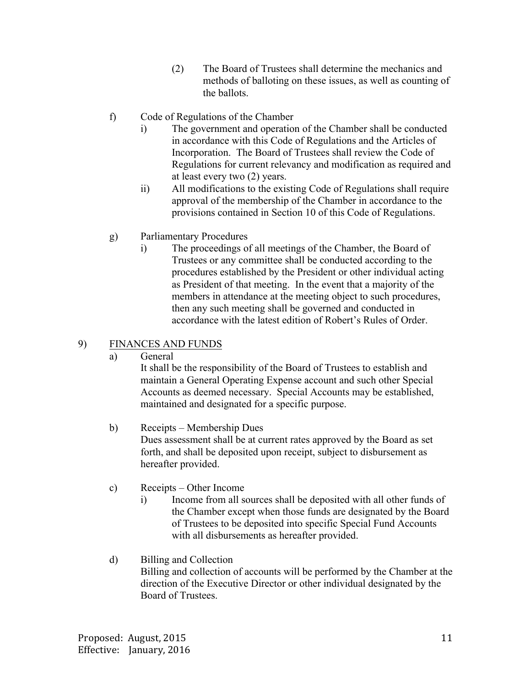- (2) The Board of Trustees shall determine the mechanics and methods of balloting on these issues, as well as counting of the ballots.
- f) Code of Regulations of the Chamber
	- i) The government and operation of the Chamber shall be conducted in accordance with this Code of Regulations and the Articles of Incorporation. The Board of Trustees shall review the Code of Regulations for current relevancy and modification as required and at least every two (2) years.
	- ii) All modifications to the existing Code of Regulations shall require approval of the membership of the Chamber in accordance to the provisions contained in Section 10 of this Code of Regulations.
- g) Parliamentary Procedures
	- i) The proceedings of all meetings of the Chamber, the Board of Trustees or any committee shall be conducted according to the procedures established by the President or other individual acting as President of that meeting. In the event that a majority of the members in attendance at the meeting object to such procedures, then any such meeting shall be governed and conducted in accordance with the latest edition of Robert's Rules of Order.

# 9) FINANCES AND FUNDS

a) General

It shall be the responsibility of the Board of Trustees to establish and maintain a General Operating Expense account and such other Special Accounts as deemed necessary. Special Accounts may be established, maintained and designated for a specific purpose.

- b) Receipts Membership Dues Dues assessment shall be at current rates approved by the Board as set forth, and shall be deposited upon receipt, subject to disbursement as hereafter provided.
- c) Receipts Other Income
	- i) Income from all sources shall be deposited with all other funds of the Chamber except when those funds are designated by the Board of Trustees to be deposited into specific Special Fund Accounts with all disbursements as hereafter provided.

## d) Billing and Collection

Billing and collection of accounts will be performed by the Chamber at the direction of the Executive Director or other individual designated by the Board of Trustees.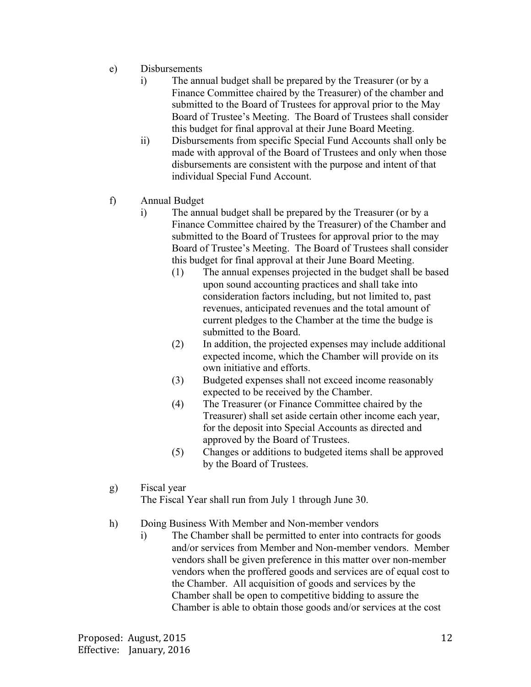- e) Disbursements
	- i) The annual budget shall be prepared by the Treasurer (or by a Finance Committee chaired by the Treasurer) of the chamber and submitted to the Board of Trustees for approval prior to the May Board of Trustee's Meeting. The Board of Trustees shall consider this budget for final approval at their June Board Meeting.
	- ii) Disbursements from specific Special Fund Accounts shall only be made with approval of the Board of Trustees and only when those disbursements are consistent with the purpose and intent of that individual Special Fund Account.
- f) Annual Budget
	- i) The annual budget shall be prepared by the Treasurer (or by a Finance Committee chaired by the Treasurer) of the Chamber and submitted to the Board of Trustees for approval prior to the may Board of Trustee's Meeting. The Board of Trustees shall consider this budget for final approval at their June Board Meeting.
		- (1) The annual expenses projected in the budget shall be based upon sound accounting practices and shall take into consideration factors including, but not limited to, past revenues, anticipated revenues and the total amount of current pledges to the Chamber at the time the budge is submitted to the Board.
		- (2) In addition, the projected expenses may include additional expected income, which the Chamber will provide on its own initiative and efforts.
		- (3) Budgeted expenses shall not exceed income reasonably expected to be received by the Chamber.
		- (4) The Treasurer (or Finance Committee chaired by the Treasurer) shall set aside certain other income each year, for the deposit into Special Accounts as directed and approved by the Board of Trustees.
		- (5) Changes or additions to budgeted items shall be approved by the Board of Trustees.
- g) Fiscal year

The Fiscal Year shall run from July 1 through June 30.

- h) Doing Business With Member and Non-member vendors
	- i) The Chamber shall be permitted to enter into contracts for goods and/or services from Member and Non-member vendors. Member vendors shall be given preference in this matter over non-member vendors when the proffered goods and services are of equal cost to the Chamber. All acquisition of goods and services by the Chamber shall be open to competitive bidding to assure the Chamber is able to obtain those goods and/or services at the cost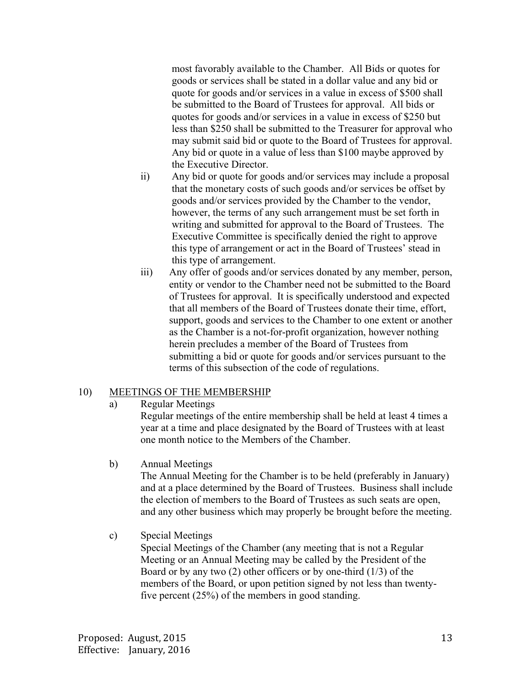most favorably available to the Chamber. All Bids or quotes for goods or services shall be stated in a dollar value and any bid or quote for goods and/or services in a value in excess of \$500 shall be submitted to the Board of Trustees for approval. All bids or quotes for goods and/or services in a value in excess of \$250 but less than \$250 shall be submitted to the Treasurer for approval who may submit said bid or quote to the Board of Trustees for approval. Any bid or quote in a value of less than \$100 maybe approved by the Executive Director.

- ii) Any bid or quote for goods and/or services may include a proposal that the monetary costs of such goods and/or services be offset by goods and/or services provided by the Chamber to the vendor, however, the terms of any such arrangement must be set forth in writing and submitted for approval to the Board of Trustees. The Executive Committee is specifically denied the right to approve this type of arrangement or act in the Board of Trustees' stead in this type of arrangement.
- iii) Any offer of goods and/or services donated by any member, person, entity or vendor to the Chamber need not be submitted to the Board of Trustees for approval. It is specifically understood and expected that all members of the Board of Trustees donate their time, effort, support, goods and services to the Chamber to one extent or another as the Chamber is a not-for-profit organization, however nothing herein precludes a member of the Board of Trustees from submitting a bid or quote for goods and/or services pursuant to the terms of this subsection of the code of regulations.

## 10) MEETINGS OF THE MEMBERSHIP

a) Regular Meetings

Regular meetings of the entire membership shall be held at least 4 times a year at a time and place designated by the Board of Trustees with at least one month notice to the Members of the Chamber.

b) Annual Meetings

The Annual Meeting for the Chamber is to be held (preferably in January) and at a place determined by the Board of Trustees. Business shall include the election of members to the Board of Trustees as such seats are open, and any other business which may properly be brought before the meeting.

c) Special Meetings

Special Meetings of the Chamber (any meeting that is not a Regular Meeting or an Annual Meeting may be called by the President of the Board or by any two  $(2)$  other officers or by one-third  $(1/3)$  of the members of the Board, or upon petition signed by not less than twentyfive percent (25%) of the members in good standing.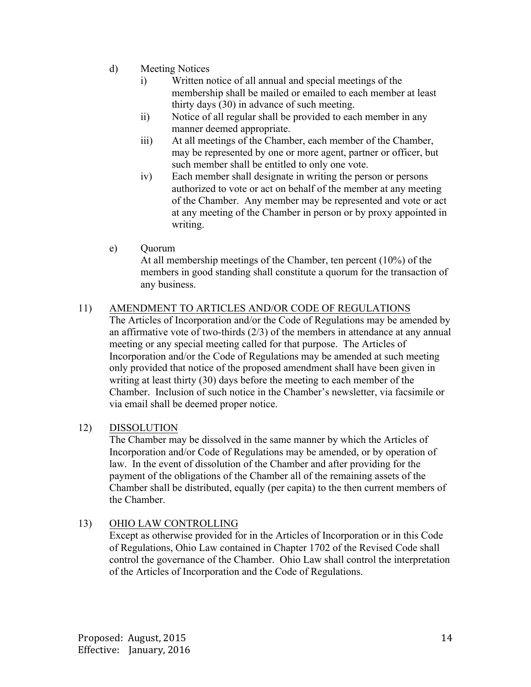- d) Meeting Notices
	- i) Written notice of all annual and special meetings of the membership shall be mailed or emailed to each member at least thirty days (30) in advance of such meeting.
	- ii) Notice of all regular shall be provided to each member in any manner deemed appropriate.
	- iii) At all meetings of the Chamber, each member of the Chamber, may be represented by one or more agent, partner or officer, but such member shall be entitled to only one vote.
	- iv) Each member shall designate in writing the person or persons authorized to vote or act on behalf of the member at any meeting of the Chamber. Any member may be represented and vote or act at any meeting of the Chamber in person or by proxy appointed in writing.

## e) Quorum

At all membership meetings of the Chamber, ten percent (10%) of the members in good standing shall constitute a quorum for the transaction of any business.

# 11) AMENDMENT TO ARTICLES AND/OR CODE OF REGULATIONS

The Articles of Incorporation and/or the Code of Regulations may be amended by an affirmative vote of two-thirds (2/3) of the members in attendance at any annual meeting or any special meeting called for that purpose. The Articles of Incorporation and/or the Code of Regulations may be amended at such meeting only provided that notice of the proposed amendment shall have been given in writing at least thirty (30) days before the meeting to each member of the Chamber. Inclusion of such notice in the Chamber's newsletter, via facsimile or via email shall be deemed proper notice.

## 12) DISSOLUTION

The Chamber may be dissolved in the same manner by which the Articles of Incorporation and/or Code of Regulations may be amended, or by operation of law. In the event of dissolution of the Chamber and after providing for the payment of the obligations of the Chamber all of the remaining assets of the Chamber shall be distributed, equally (per capita) to the then current members of the Chamber.

## 13) OHIO LAW CONTROLLING

Except as otherwise provided for in the Articles of Incorporation or in this Code of Regulations, Ohio Law contained in Chapter 1702 of the Revised Code shall control the governance of the Chamber. Ohio Law shall control the interpretation of the Articles of Incorporation and the Code of Regulations.